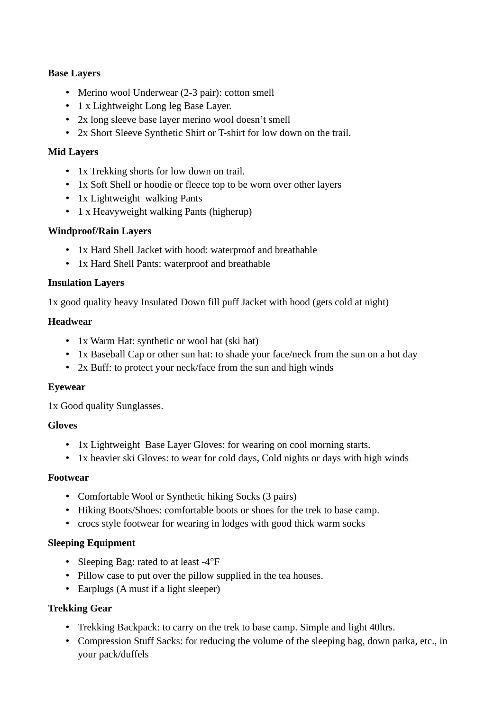# **Base Layers**

- Merino wool Underwear (2-3 pair): cotton smell
- 1 x Lightweight Long leg Base Layer.
- 2x long sleeve base layer merino wool doesn't smell
- 2x Short Sleeve Synthetic Shirt or T-shirt for low down on the trail.

#### **Mid Layers**

- 1x Trekking shorts for low down on trail.
- 1x Soft Shell or hoodie or fleece top to be worn over other layers
- 1x Lightweight walking Pants
- 1 x Heavyweight walking Pants (higherup)

## **Windproof/Rain Layers**

- 1x Hard Shell Jacket with hood: waterproof and breathable
- 1x Hard Shell Pants: waterproof and breathable

## **Insulation Layers**

1x good quality heavy Insulated Down fill puff Jacket with hood (gets cold at night)

## **Headwear**

- 1x Warm Hat: synthetic or wool hat (ski hat)
- 1x Baseball Cap or other sun hat: to shade your face/neck from the sun on a hot day
- 2x Buff: to protect your neck/face from the sun and high winds

## **Eyewear**

1x Good quality Sunglasses.

## **Gloves**

- 1x Lightweight Base Layer Gloves: for wearing on cool morning starts.
- 1x heavier ski Gloves: to wear for cold days, Cold nights or days with high winds

## **Footwear**

- Comfortable Wool or Synthetic hiking Socks (3 pairs)
- Hiking Boots/Shoes: comfortable boots or shoes for the trek to base camp.
- crocs style footwear for wearing in lodges with good thick warm socks

## **Sleeping Equipment**

- Sleeping Bag: rated to at least -4°F
- Pillow case to put over the pillow supplied in the tea houses.
- Earplugs (A must if a light sleeper)

## **Trekking Gear**

- Trekking Backpack: to carry on the trek to base camp. Simple and light 40ltrs.
- Compression Stuff Sacks: for reducing the volume of the sleeping bag, down parka, etc., in your pack/duffels